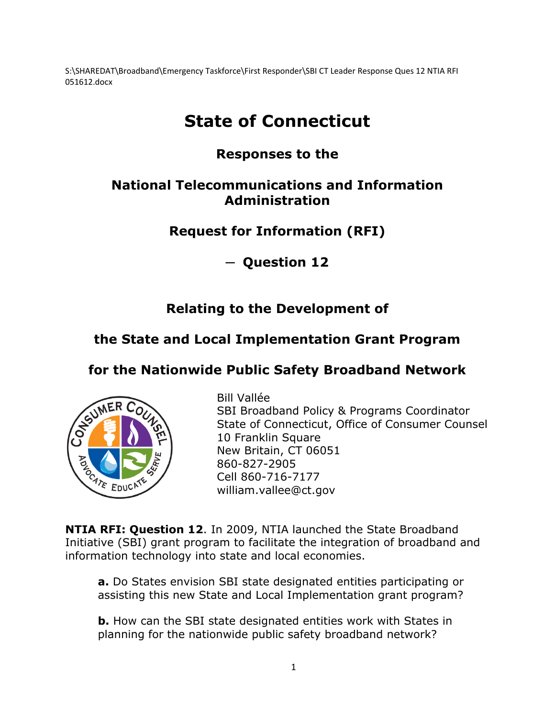S:\SHAREDAT\Broadband\Emergency Taskforce\First Responder\SBI CT Leader Response Ques 12 NTIA RFI 051612.docx

# **State of Connecticut**

### **Responses to the**

#### **National Telecommunications and Information Administration**

### **Request for Information (RFI)**

**─ Question 12**

### **Relating to the Development of**

## **the State and Local Implementation Grant Program**

### **for the Nationwide Public Safety Broadband Network**



Bill Vallée SBI Broadband Policy & Programs Coordinator State of Connecticut, Office of Consumer Counsel 10 Franklin Square New Britain, CT 06051 860-827-2905 Cell 860-716-7177 william.vallee@ct.gov

**NTIA RFI: Question 12**. In 2009, NTIA launched the State Broadband Initiative (SBI) grant program to facilitate the integration of broadband and information technology into state and local economies.

**a.** Do States envision SBI state designated entities participating or assisting this new State and Local Implementation grant program?

**b.** How can the SBI state designated entities work with States in planning for the nationwide public safety broadband network?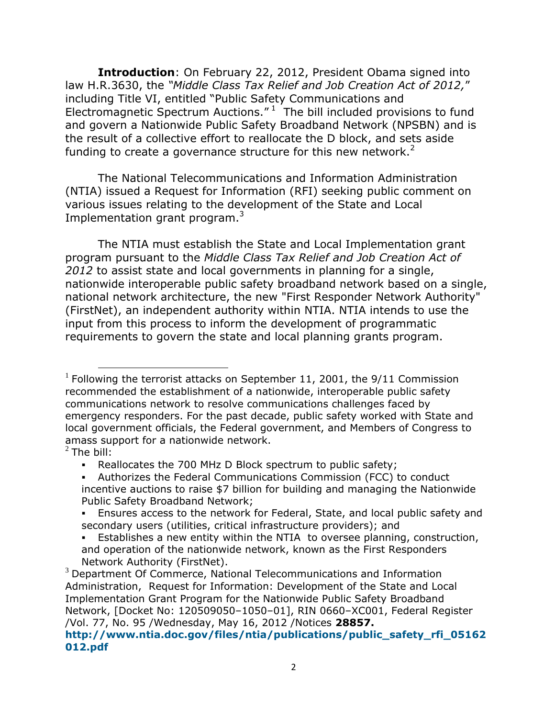**Introduction**: On February 22, 2012, President Obama signed into law H.R.3630, the *"Middle Class Tax Relief and Job Creation Act of 2012,*" including Title VI, entitled "Public Safety Communications and Electromagnetic Spectrum Auctions." $1$  The bill included provisions to fund and govern a Nationwide Public Safety Broadband Network (NPSBN) and is the result of a collective effort to reallocate the D block, and sets aside funding to create a governance structure for this new network. $2$ 

The National Telecommunications and Information Administration (NTIA) issued a Request for Information (RFI) seeking public comment on various issues relating to the development of the State and Local Implementation grant program.<sup>3</sup>

The NTIA must establish the State and Local Implementation grant program pursuant to the *Middle Class Tax Relief and Job Creation Act of 2012* to assist state and local governments in planning for a single, nationwide interoperable public safety broadband network based on a single, national network architecture, the new "First Responder Network Authority" (FirstNet), an independent authority within NTIA. NTIA intends to use the input from this process to inform the development of programmatic requirements to govern the state and local planning grants program.

 $\overline{a}$  $1$  Following the terrorist attacks on September 11, 2001, the 9/11 Commission recommended the establishment of a nationwide, interoperable public safety communications network to resolve communications challenges faced by emergency responders. For the past decade, public safety worked with State and local government officials, the Federal government, and Members of Congress to amass support for a nationwide network.

 $2$  The bill:

Reallocates the 700 MHz D Block spectrum to public safety;

Authorizes the Federal Communications Commission (FCC) to conduct incentive auctions to raise \$7 billion for building and managing the Nationwide Public Safety Broadband Network;

Ensures access to the network for Federal, State, and local public safety and secondary users (utilities, critical infrastructure providers); and

Establishes a new entity within the NTIA to oversee planning, construction, and operation of the nationwide network, known as the First Responders Network Authority (FirstNet).

 $3$  Department Of Commerce, National Telecommunications and Information Administration, Request for Information: Development of the State and Local Implementation Grant Program for the Nationwide Public Safety Broadband Network, [Docket No: 120509050–1050–01], RIN 0660–XC001, Federal Register /Vol. 77, No. 95 /Wednesday, May 16, 2012 /Notices **28857.**

**[http://www.ntia.doc.gov/files/ntia/publications/public\\_safety\\_rfi\\_05162](http://www.ntia.doc.gov/files/ntia/publications/public_safety_rfi_05162012.pdf) [012.pdf](http://www.ntia.doc.gov/files/ntia/publications/public_safety_rfi_05162012.pdf)**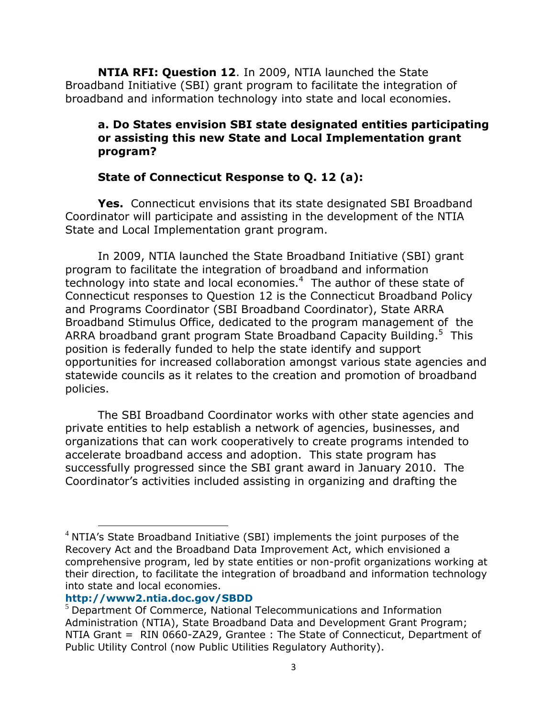**NTIA RFI: Question 12**. In 2009, NTIA launched the State Broadband Initiative (SBI) grant program to facilitate the integration of broadband and information technology into state and local economies.

#### **a. Do States envision SBI state designated entities participating or assisting this new State and Local Implementation grant program?**

#### **State of Connecticut Response to Q. 12 (a):**

**Yes.** Connecticut envisions that its state designated SBI Broadband Coordinator will participate and assisting in the development of the NTIA State and Local Implementation grant program.

In 2009, NTIA launched the State Broadband Initiative (SBI) grant program to facilitate the integration of broadband and information technology into state and local economies. $4\,$  The author of these state of Connecticut responses to Question 12 is the Connecticut Broadband Policy and Programs Coordinator (SBI Broadband Coordinator), State ARRA Broadband Stimulus Office, dedicated to the program management of the ARRA broadband grant program State Broadband Capacity Building.<sup>5</sup> This position is federally funded to help the state identify and support opportunities for increased collaboration amongst various state agencies and statewide councils as it relates to the creation and promotion of broadband policies.

The SBI Broadband Coordinator works with other state agencies and private entities to help establish a network of agencies, businesses, and organizations that can work cooperatively to create programs intended to accelerate broadband access and adoption. This state program has successfully progressed since the SBI grant award in January 2010. The Coordinator's activities included assisting in organizing and drafting the

#### **<http://www2.ntia.doc.gov/SBDD>**

 $4$  NTIA's State Broadband Initiative (SBI) implements the joint purposes of the Recovery Act and the Broadband Data Improvement Act, which envisioned a comprehensive program, led by state entities or non-profit organizations working at their direction, to facilitate the integration of broadband and information technology into state and local economies.

<sup>&</sup>lt;sup>5</sup> Department Of Commerce, National Telecommunications and Information Administration (NTIA), State Broadband Data and Development Grant Program; NTIA Grant = RIN 0660-ZA29, Grantee : The State of Connecticut, Department of Public Utility Control (now Public Utilities Regulatory Authority).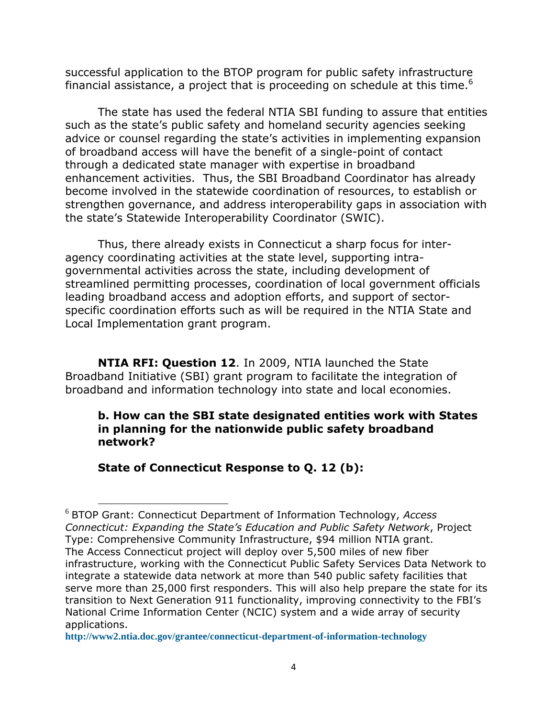successful application to the BTOP program for public safety infrastructure financial assistance, a project that is proceeding on schedule at this time.<sup>6</sup>

The state has used the federal NTIA SBI funding to assure that entities such as the state's public safety and homeland security agencies seeking advice or counsel regarding the state's activities in implementing expansion of broadband access will have the benefit of a single-point of contact through a dedicated state manager with expertise in broadband enhancement activities. Thus, the SBI Broadband Coordinator has already become involved in the statewide coordination of resources, to establish or strengthen governance, and address interoperability gaps in association with the state's Statewide Interoperability Coordinator (SWIC).

Thus, there already exists in Connecticut a sharp focus for interagency coordinating activities at the state level, supporting intragovernmental activities across the state, including development of streamlined permitting processes, coordination of local government officials leading broadband access and adoption efforts, and support of sectorspecific coordination efforts such as will be required in the NTIA State and Local Implementation grant program.

**NTIA RFI: Question 12**. In 2009, NTIA launched the State Broadband Initiative (SBI) grant program to facilitate the integration of broadband and information technology into state and local economies.

#### **b. How can the SBI state designated entities work with States in planning for the nationwide public safety broadband network?**

**State of Connecticut Response to Q. 12 (b):**

<sup>6</sup> BTOP Grant: Connecticut Department of Information Technology, *Access Connecticut: Expanding the State's Education and Public Safety Network*, Project Type: Comprehensive Community Infrastructure, \$94 million NTIA grant. The Access Connecticut project will deploy over 5,500 miles of new fiber infrastructure, working with the Connecticut Public Safety Services Data Network to integrate a statewide data network at more than 540 public safety facilities that serve more than 25,000 first responders. This will also help prepare the state for its transition to Next Generation 911 functionality, improving connectivity to the FBI's National Crime Information Center (NCIC) system and a wide array of security applications.

**<http://www2.ntia.doc.gov/grantee/connecticut-department-of-information-technology>**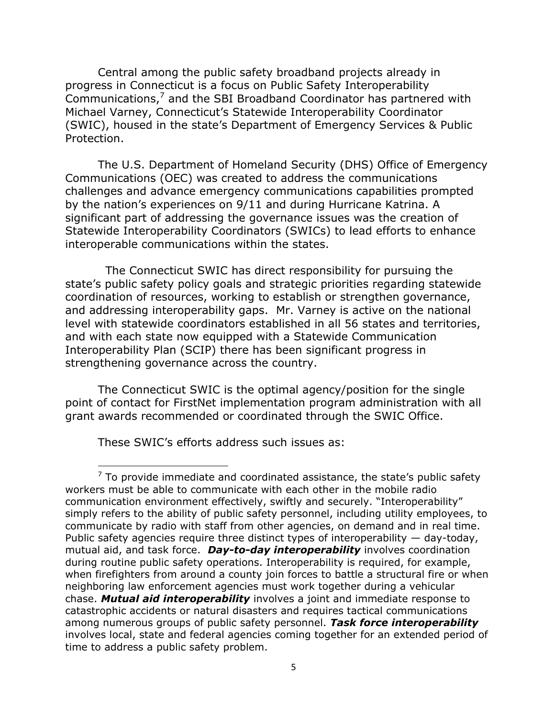Central among the public safety broadband projects already in progress in Connecticut is a focus on Public Safety Interoperability Communications, $^7$  and the SBI Broadband Coordinator has partnered with Michael Varney, Connecticut's Statewide Interoperability Coordinator (SWIC), housed in the state's Department of Emergency Services & Public Protection.

The U.S. Department of Homeland Security (DHS) Office of Emergency Communications (OEC) was created to address the communications challenges and advance emergency communications capabilities prompted by the nation's experiences on 9/11 and during Hurricane Katrina. A significant part of addressing the governance issues was the creation of Statewide Interoperability Coordinators (SWICs) to lead efforts to enhance interoperable communications within the states.

 The Connecticut SWIC has direct responsibility for pursuing the state's public safety policy goals and strategic priorities regarding statewide coordination of resources, working to establish or strengthen governance, and addressing interoperability gaps. Mr. Varney is active on the national level with statewide coordinators established in all 56 states and territories, and with each state now equipped with a Statewide Communication Interoperability Plan (SCIP) there has been significant progress in strengthening governance across the country.

The Connecticut SWIC is the optimal agency/position for the single point of contact for FirstNet implementation program administration with all grant awards recommended or coordinated through the SWIC Office.

These SWIC's efforts address such issues as:

 $7$  To provide immediate and coordinated assistance, the state's public safety workers must be able to communicate with each other in the mobile radio communication environment effectively, swiftly and securely. "Interoperability" simply refers to the ability of public safety personnel, including utility employees, to communicate by radio with staff from other agencies, on demand and in real time. Public safety agencies require three distinct types of interoperability  $-$  day-today, mutual aid, and task force. *Day-to-day interoperability* involves coordination during routine public safety operations. Interoperability is required, for example, when firefighters from around a county join forces to battle a structural fire or when neighboring law enforcement agencies must work together during a vehicular chase. *Mutual aid interoperability* involves a joint and immediate response to catastrophic accidents or natural disasters and requires tactical communications among numerous groups of public safety personnel. *Task force interoperability* involves local, state and federal agencies coming together for an extended period of time to address a public safety problem.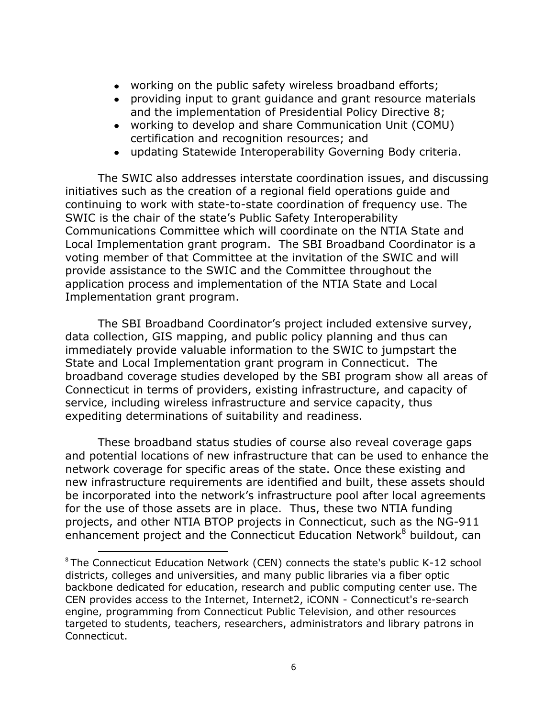- working on the public safety wireless broadband efforts;
- providing input to grant guidance and grant resource materials and the implementation of Presidential Policy Directive 8;
- working to develop and share Communication Unit (COMU) certification and recognition resources; and
- updating Statewide Interoperability Governing Body criteria.

The SWIC also addresses interstate coordination issues, and discussing initiatives such as the creation of a regional field operations guide and continuing to work with state-to-state coordination of frequency use. The SWIC is the chair of the state's Public Safety Interoperability Communications Committee which will coordinate on the NTIA State and Local Implementation grant program. The SBI Broadband Coordinator is a voting member of that Committee at the invitation of the SWIC and will provide assistance to the SWIC and the Committee throughout the application process and implementation of the NTIA State and Local Implementation grant program.

The SBI Broadband Coordinator's project included extensive survey, data collection, GIS mapping, and public policy planning and thus can immediately provide valuable information to the SWIC to jumpstart the State and Local Implementation grant program in Connecticut. The broadband coverage studies developed by the SBI program show all areas of Connecticut in terms of providers, existing infrastructure, and capacity of service, including wireless infrastructure and service capacity, thus expediting determinations of suitability and readiness.

These broadband status studies of course also reveal coverage gaps and potential locations of new infrastructure that can be used to enhance the network coverage for specific areas of the state. Once these existing and new infrastructure requirements are identified and built, these assets should be incorporated into the network's infrastructure pool after local agreements for the use of those assets are in place. Thus, these two NTIA funding projects, and other NTIA BTOP projects in Connecticut, such as the NG-911 enhancement project and the Connecticut Education Network<sup>8</sup> buildout, can

<sup>&</sup>lt;sup>8</sup> The Connecticut Education Network (CEN) connects the state's public K-12 school districts, colleges and universities, and many public libraries via a fiber optic backbone dedicated for education, research and public computing center use. The CEN provides access to the Internet, Internet2, iCONN - Connecticut's re-search engine, programming from Connecticut Public Television, and other resources targeted to students, teachers, researchers, administrators and library patrons in Connecticut.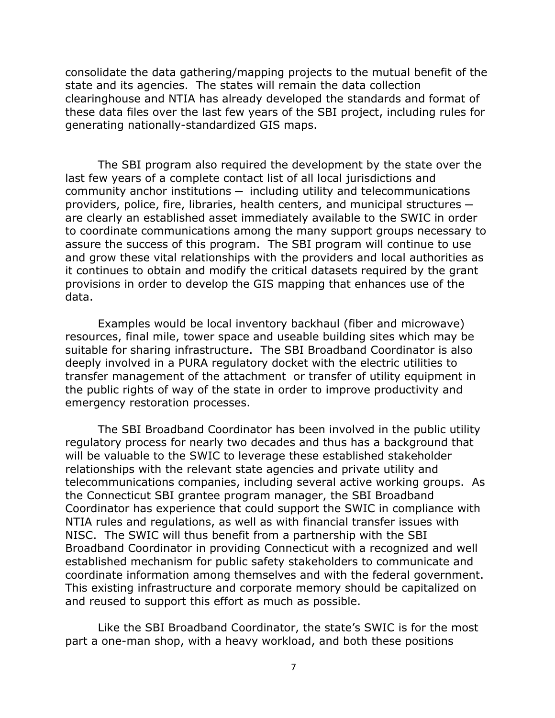consolidate the data gathering/mapping projects to the mutual benefit of the state and its agencies. The states will remain the data collection clearinghouse and NTIA has already developed the standards and format of these data files over the last few years of the SBI project, including rules for generating nationally-standardized GIS maps.

The SBI program also required the development by the state over the last few years of a complete contact list of all local jurisdictions and  $community$  anchor institutions  $-$  including utility and telecommunications providers, police, fire, libraries, health centers, and municipal structures  $$ are clearly an established asset immediately available to the SWIC in order to coordinate communications among the many support groups necessary to assure the success of this program. The SBI program will continue to use and grow these vital relationships with the providers and local authorities as it continues to obtain and modify the critical datasets required by the grant provisions in order to develop the GIS mapping that enhances use of the data.

Examples would be local inventory backhaul (fiber and microwave) resources, final mile, tower space and useable building sites which may be suitable for sharing infrastructure. The SBI Broadband Coordinator is also deeply involved in a PURA regulatory docket with the electric utilities to transfer management of the attachment or transfer of utility equipment in the public rights of way of the state in order to improve productivity and emergency restoration processes.

The SBI Broadband Coordinator has been involved in the public utility regulatory process for nearly two decades and thus has a background that will be valuable to the SWIC to leverage these established stakeholder relationships with the relevant state agencies and private utility and telecommunications companies, including several active working groups. As the Connecticut SBI grantee program manager, the SBI Broadband Coordinator has experience that could support the SWIC in compliance with NTIA rules and regulations, as well as with financial transfer issues with NISC. The SWIC will thus benefit from a partnership with the SBI Broadband Coordinator in providing Connecticut with a recognized and well established mechanism for public safety stakeholders to communicate and coordinate information among themselves and with the federal government. This existing infrastructure and corporate memory should be capitalized on and reused to support this effort as much as possible.

Like the SBI Broadband Coordinator, the state's SWIC is for the most part a one-man shop, with a heavy workload, and both these positions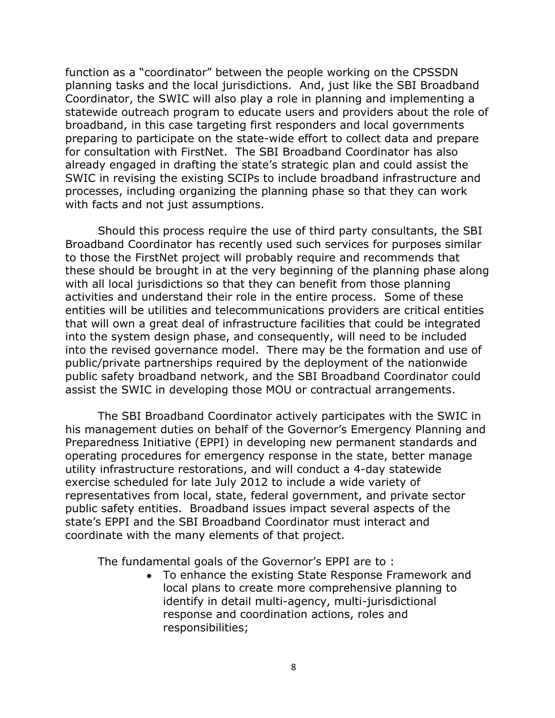function as a "coordinator" between the people working on the CPSSDN planning tasks and the local jurisdictions. And, just like the SBI Broadband Coordinator, the SWIC will also play a role in planning and implementing a statewide outreach program to educate users and providers about the role of broadband, in this case targeting first responders and local governments preparing to participate on the state-wide effort to collect data and prepare for consultation with FirstNet. The SBI Broadband Coordinator has also already engaged in drafting the state's strategic plan and could assist the SWIC in revising the existing SCIPs to include broadband infrastructure and processes, including organizing the planning phase so that they can work with facts and not just assumptions.

Should this process require the use of third party consultants, the SBI Broadband Coordinator has recently used such services for purposes similar to those the FirstNet project will probably require and recommends that these should be brought in at the very beginning of the planning phase along with all local jurisdictions so that they can benefit from those planning activities and understand their role in the entire process. Some of these entities will be utilities and telecommunications providers are critical entities that will own a great deal of infrastructure facilities that could be integrated into the system design phase, and consequently, will need to be included into the revised governance model. There may be the formation and use of public/private partnerships required by the deployment of the nationwide public safety broadband network, and the SBI Broadband Coordinator could assist the SWIC in developing those MOU or contractual arrangements.

The SBI Broadband Coordinator actively participates with the SWIC in his management duties on behalf of the Governor's Emergency Planning and Preparedness Initiative (EPPI) in developing new permanent standards and operating procedures for emergency response in the state, better manage utility infrastructure restorations, and will conduct a 4-day statewide exercise scheduled for late July 2012 to include a wide variety of representatives from local, state, federal government, and private sector public safety entities. Broadband issues impact several aspects of the state's EPPI and the SBI Broadband Coordinator must interact and coordinate with the many elements of that project.

The fundamental goals of the Governor's EPPI are to :

To enhance the existing State Response Framework and local plans to create more comprehensive planning to identify in detail multi-agency, multi-jurisdictional response and coordination actions, roles and responsibilities;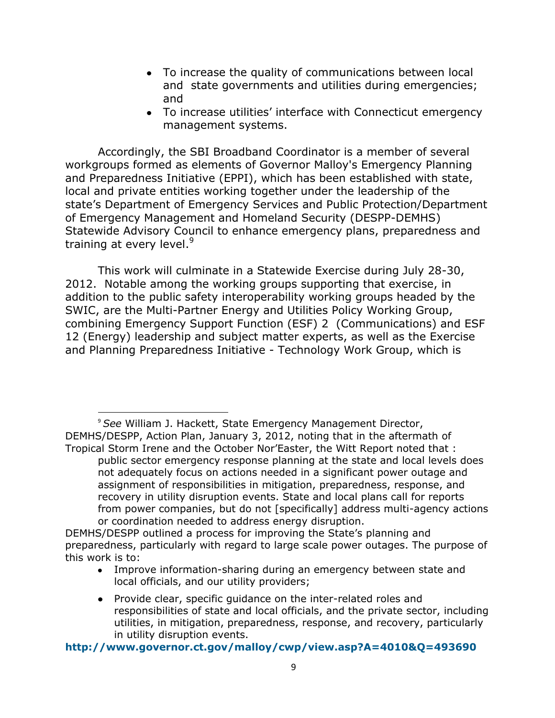- To increase the quality of communications between local and state governments and utilities during emergencies; and
- To increase utilities' interface with Connecticut emergency management systems.

Accordingly, the SBI Broadband Coordinator is a member of several workgroups formed as elements of Governor Malloy's Emergency Planning and Preparedness Initiative (EPPI), which has been established with state, local and private entities working together under the leadership of the state's Department of Emergency Services and Public Protection/Department of Emergency Management and Homeland Security (DESPP-DEMHS) Statewide Advisory Council to enhance emergency plans, preparedness and training at every level.<sup>9</sup>

This work will culminate in a Statewide Exercise during July 28-30, 2012. Notable among the working groups supporting that exercise, in addition to the public safety interoperability working groups headed by the SWIC, are the Multi-Partner Energy and Utilities Policy Working Group, combining Emergency Support Function (ESF) 2 (Communications) and ESF 12 (Energy) leadership and subject matter experts, as well as the Exercise and Planning Preparedness Initiative - Technology Work Group, which is

<sup>9</sup> *See* William J. Hackett, State Emergency Management Director, DEMHS/DESPP, Action Plan, January 3, 2012, noting that in the aftermath of Tropical Storm Irene and the October Nor'Easter, the Witt Report noted that :

 $\overline{a}$ 

public sector emergency response planning at the state and local levels does not adequately focus on actions needed in a significant power outage and assignment of responsibilities in mitigation, preparedness, response, and recovery in utility disruption events. State and local plans call for reports from power companies, but do not [specifically] address multi-agency actions or coordination needed to address energy disruption.

- Improve information-sharing during an emergency between state and local officials, and our utility providers;
- Provide clear, specific guidance on the inter-related roles and responsibilities of state and local officials, and the private sector, including utilities, in mitigation, preparedness, response, and recovery, particularly in utility disruption events.

**<http://www.governor.ct.gov/malloy/cwp/view.asp?A=4010&Q=493690>**

DEMHS/DESPP outlined a process for improving the State's planning and preparedness, particularly with regard to large scale power outages. The purpose of this work is to: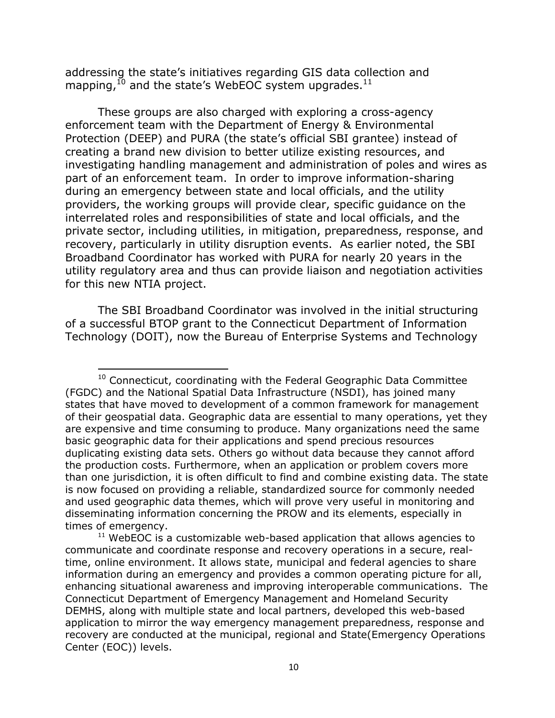addressing the state's initiatives regarding GIS data collection and mapping,  $^{10}$  and the state's WebEOC system upgrades.  $^{11}$ 

These groups are also charged with exploring a cross-agency enforcement team with the Department of Energy & Environmental Protection (DEEP) and PURA (the state's official SBI grantee) instead of creating a brand new division to better utilize existing resources, and investigating handling management and administration of poles and wires as part of an enforcement team. In order to improve information-sharing during an emergency between state and local officials, and the utility providers, the working groups will provide clear, specific guidance on the interrelated roles and responsibilities of state and local officials, and the private sector, including utilities, in mitigation, preparedness, response, and recovery, particularly in utility disruption events. As earlier noted, the SBI Broadband Coordinator has worked with PURA for nearly 20 years in the utility regulatory area and thus can provide liaison and negotiation activities for this new NTIA project.

The SBI Broadband Coordinator was involved in the initial structuring of a successful BTOP grant to the Connecticut Department of Information Technology (DOIT), now the Bureau of Enterprise Systems and Technology

 $10$  Connecticut, coordinating with the Federal Geographic Data Committee (FGDC) and the National Spatial Data Infrastructure (NSDI), has joined many states that have moved to development of a common framework for management of their geospatial data. Geographic data are essential to many operations, yet they are expensive and time consuming to produce. Many organizations need the same basic geographic data for their applications and spend precious resources duplicating existing data sets. Others go without data because they cannot afford the production costs. Furthermore, when an application or problem covers more than one jurisdiction, it is often difficult to find and combine existing data. The state is now focused on providing a reliable, standardized source for commonly needed and used geographic data themes, which will prove very useful in monitoring and disseminating information concerning the PROW and its elements, especially in times of emergency.

 $11$  WebEOC is a customizable web-based application that allows agencies to communicate and coordinate response and recovery operations in a secure, realtime, online environment. It allows state, municipal and federal agencies to share information during an emergency and provides a common operating picture for all, enhancing situational awareness and improving interoperable communications. The Connecticut Department of Emergency Management and Homeland Security DEMHS, along with multiple state and local partners, developed this web-based application to mirror the way emergency management preparedness, response and recovery are conducted at the municipal, regional and State(Emergency Operations Center (EOC)) levels.